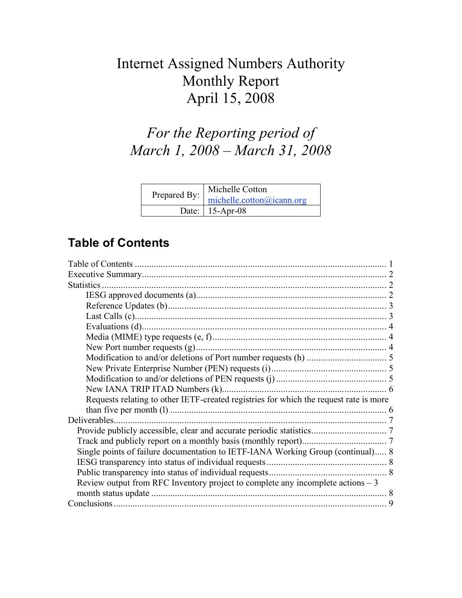# Internet Assigned Numbers Authority Monthly Report April 15, 2008

# *For the Reporting period of March 1, 2008 – March 31, 2008*

| Michelle Cotton<br>Prepared By: michelle.cotton@icann.org |
|-----------------------------------------------------------|
| Date: $15-Apr-08$                                         |

## **Table of Contents**

| Statistics.                                                                           |  |
|---------------------------------------------------------------------------------------|--|
|                                                                                       |  |
|                                                                                       |  |
|                                                                                       |  |
|                                                                                       |  |
|                                                                                       |  |
|                                                                                       |  |
|                                                                                       |  |
|                                                                                       |  |
|                                                                                       |  |
|                                                                                       |  |
| Requests relating to other IETF-created registries for which the request rate is more |  |
|                                                                                       |  |
| Deliverables.                                                                         |  |
|                                                                                       |  |
|                                                                                       |  |
| Single points of failure documentation to IETF-IANA Working Group (continual) 8       |  |
|                                                                                       |  |
|                                                                                       |  |
| Review output from RFC Inventory project to complete any incomplete actions $-3$      |  |
|                                                                                       |  |
|                                                                                       |  |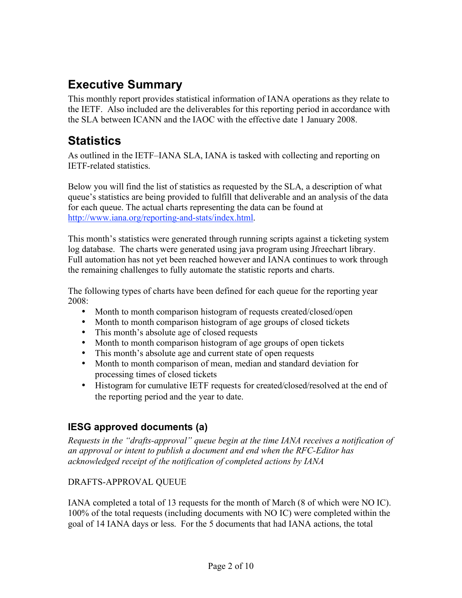## **Executive Summary**

This monthly report provides statistical information of IANA operations as they relate to the IETF. Also included are the deliverables for this reporting period in accordance with the SLA between ICANN and the IAOC with the effective date 1 January 2008.

## **Statistics**

As outlined in the IETF–IANA SLA, IANA is tasked with collecting and reporting on IETF-related statistics.

Below you will find the list of statistics as requested by the SLA, a description of what queue's statistics are being provided to fulfill that deliverable and an analysis of the data for each queue. The actual charts representing the data can be found at http://www.iana.org/reporting-and-stats/index.html.

This month's statistics were generated through running scripts against a ticketing system log database. The charts were generated using java program using Jfreechart library. Full automation has not yet been reached however and IANA continues to work through the remaining challenges to fully automate the statistic reports and charts.

The following types of charts have been defined for each queue for the reporting year  $2008$ 

- Month to month comparison histogram of requests created/closed/open
- Month to month comparison histogram of age groups of closed tickets
- This month's absolute age of closed requests
- Month to month comparison histogram of age groups of open tickets
- This month's absolute age and current state of open requests
- Month to month comparison of mean, median and standard deviation for processing times of closed tickets
- Histogram for cumulative IETF requests for created/closed/resolved at the end of the reporting period and the year to date.

## **IESG approved documents (a)**

*Requests in the "drafts-approval" queue begin at the time IANA receives a notification of an approval or intent to publish a document and end when the RFC-Editor has acknowledged receipt of the notification of completed actions by IANA*

#### DRAFTS-APPROVAL QUEUE

IANA completed a total of 13 requests for the month of March (8 of which were NO IC). 100% of the total requests (including documents with NO IC) were completed within the goal of 14 IANA days or less. For the 5 documents that had IANA actions, the total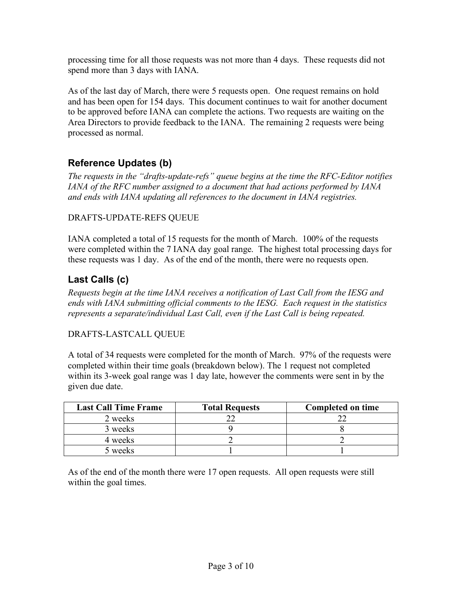processing time for all those requests was not more than 4 days. These requests did not spend more than 3 days with IANA.

As of the last day of March, there were 5 requests open. One request remains on hold and has been open for 154 days. This document continues to wait for another document to be approved before IANA can complete the actions. Two requests are waiting on the Area Directors to provide feedback to the IANA. The remaining 2 requests were being processed as normal.

### **Reference Updates (b)**

*The requests in the "drafts-update-refs" queue begins at the time the RFC-Editor notifies IANA of the RFC number assigned to a document that had actions performed by IANA and ends with IANA updating all references to the document in IANA registries.*

#### DRAFTS-UPDATE-REFS QUEUE

IANA completed a total of 15 requests for the month of March. 100% of the requests were completed within the 7 IANA day goal range. The highest total processing days for these requests was 1 day. As of the end of the month, there were no requests open.

### **Last Calls (c)**

*Requests begin at the time IANA receives a notification of Last Call from the IESG and ends with IANA submitting official comments to the IESG. Each request in the statistics represents a separate/individual Last Call, even if the Last Call is being repeated.*

#### DRAFTS-LASTCALL QUEUE

A total of 34 requests were completed for the month of March. 97% of the requests were completed within their time goals (breakdown below). The 1 request not completed within its 3-week goal range was 1 day late, however the comments were sent in by the given due date.

| <b>Last Call Time Frame</b> | <b>Total Requests</b> | <b>Completed on time</b> |
|-----------------------------|-----------------------|--------------------------|
| 2 weeks                     |                       |                          |
| 3 weeks                     |                       |                          |
| 4 weeks                     |                       |                          |
| 5 weeks                     |                       |                          |

As of the end of the month there were 17 open requests. All open requests were still within the goal times.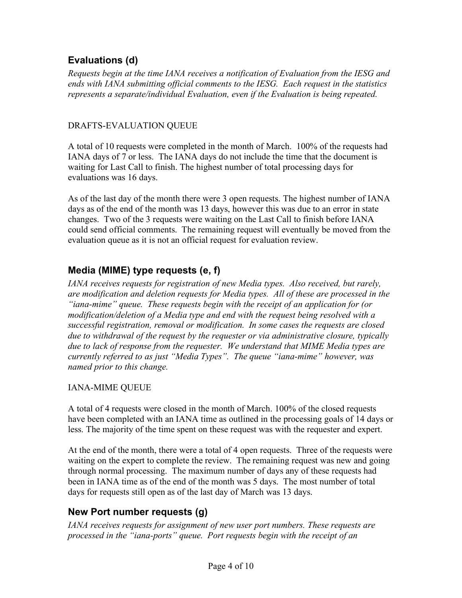### **Evaluations (d)**

*Requests begin at the time IANA receives a notification of Evaluation from the IESG and ends with IANA submitting official comments to the IESG. Each request in the statistics represents a separate/individual Evaluation, even if the Evaluation is being repeated.*

#### DRAFTS-EVALUATION QUEUE

A total of 10 requests were completed in the month of March. 100% of the requests had IANA days of 7 or less. The IANA days do not include the time that the document is waiting for Last Call to finish. The highest number of total processing days for evaluations was 16 days.

As of the last day of the month there were 3 open requests. The highest number of IANA days as of the end of the month was 13 days, however this was due to an error in state changes. Two of the 3 requests were waiting on the Last Call to finish before IANA could send official comments. The remaining request will eventually be moved from the evaluation queue as it is not an official request for evaluation review.

## **Media (MIME) type requests (e, f)**

*IANA receives requests for registration of new Media types. Also received, but rarely, are modification and deletion requests for Media types. All of these are processed in the "iana-mime" queue. These requests begin with the receipt of an application for (or modification/deletion of a Media type and end with the request being resolved with a successful registration, removal or modification. In some cases the requests are closed due to withdrawal of the request by the requester or via administrative closure, typically due to lack of response from the requester. We understand that MIME Media types are currently referred to as just "Media Types". The queue "iana-mime" however, was named prior to this change.*

#### IANA-MIME QUEUE

A total of 4 requests were closed in the month of March. 100% of the closed requests have been completed with an IANA time as outlined in the processing goals of 14 days or less. The majority of the time spent on these request was with the requester and expert.

At the end of the month, there were a total of 4 open requests. Three of the requests were waiting on the expert to complete the review. The remaining request was new and going through normal processing. The maximum number of days any of these requests had been in IANA time as of the end of the month was 5 days. The most number of total days for requests still open as of the last day of March was 13 days.

### **New Port number requests (g)**

*IANA receives requests for assignment of new user port numbers. These requests are processed in the "iana-ports" queue. Port requests begin with the receipt of an*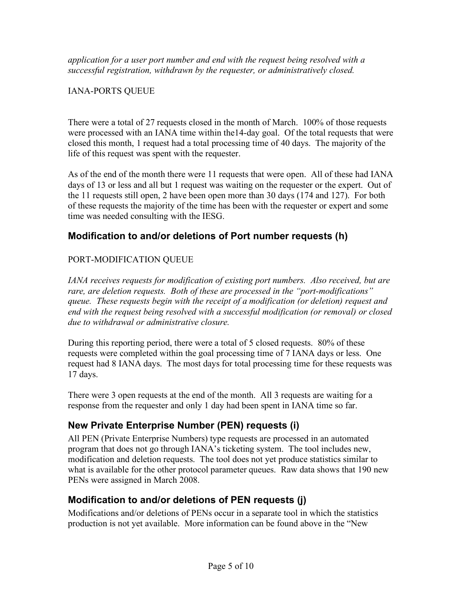*application for a user port number and end with the request being resolved with a successful registration, withdrawn by the requester, or administratively closed.*

#### IANA-PORTS QUEUE

There were a total of 27 requests closed in the month of March. 100% of those requests were processed with an IANA time within the14-day goal. Of the total requests that were closed this month, 1 request had a total processing time of 40 days. The majority of the life of this request was spent with the requester.

As of the end of the month there were 11 requests that were open. All of these had IANA days of 13 or less and all but 1 request was waiting on the requester or the expert. Out of the 11 requests still open, 2 have been open more than 30 days (174 and 127). For both of these requests the majority of the time has been with the requester or expert and some time was needed consulting with the IESG.

#### **Modification to and/or deletions of Port number requests (h)**

#### PORT-MODIFICATION QUEUE

*IANA receives requests for modification of existing port numbers. Also received, but are rare, are deletion requests. Both of these are processed in the "port-modifications" queue. These requests begin with the receipt of a modification (or deletion) request and end with the request being resolved with a successful modification (or removal) or closed due to withdrawal or administrative closure.*

During this reporting period, there were a total of 5 closed requests. 80% of these requests were completed within the goal processing time of 7 IANA days or less. One request had 8 IANA days. The most days for total processing time for these requests was 17 days.

There were 3 open requests at the end of the month. All 3 requests are waiting for a response from the requester and only 1 day had been spent in IANA time so far.

#### **New Private Enterprise Number (PEN) requests (i)**

All PEN (Private Enterprise Numbers) type requests are processed in an automated program that does not go through IANA's ticketing system. The tool includes new, modification and deletion requests. The tool does not yet produce statistics similar to what is available for the other protocol parameter queues. Raw data shows that 190 new PENs were assigned in March 2008.

#### **Modification to and/or deletions of PEN requests (j)**

Modifications and/or deletions of PENs occur in a separate tool in which the statistics production is not yet available. More information can be found above in the "New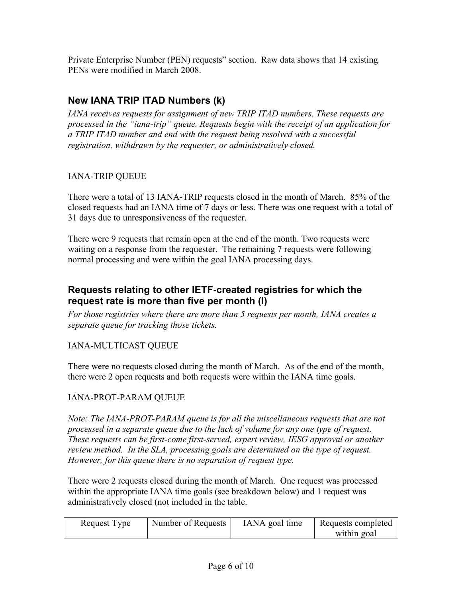Private Enterprise Number (PEN) requests" section. Raw data shows that 14 existing PENs were modified in March 2008.

### **New IANA TRIP ITAD Numbers (k)**

*IANA receives requests for assignment of new TRIP ITAD numbers. These requests are processed in the "iana-trip" queue. Requests begin with the receipt of an application for a TRIP ITAD number and end with the request being resolved with a successful registration, withdrawn by the requester, or administratively closed.*

#### IANA-TRIP QUEUE

There were a total of 13 IANA-TRIP requests closed in the month of March. 85% of the closed requests had an IANA time of 7 days or less. There was one request with a total of 31 days due to unresponsiveness of the requester.

There were 9 requests that remain open at the end of the month. Two requests were waiting on a response from the requester. The remaining 7 requests were following normal processing and were within the goal IANA processing days.

#### **Requests relating to other IETF-created registries for which the request rate is more than five per month (l)**

*For those registries where there are more than 5 requests per month, IANA creates a separate queue for tracking those tickets.*

#### IANA-MULTICAST QUEUE

There were no requests closed during the month of March. As of the end of the month, there were 2 open requests and both requests were within the IANA time goals.

#### IANA-PROT-PARAM QUEUE

*Note: The IANA-PROT-PARAM queue is for all the miscellaneous requests that are not processed in a separate queue due to the lack of volume for any one type of request. These requests can be first-come first-served, expert review, IESG approval or another review method. In the SLA, processing goals are determined on the type of request. However, for this queue there is no separation of request type.*

There were 2 requests closed during the month of March. One request was processed within the appropriate IANA time goals (see breakdown below) and 1 request was administratively closed (not included in the table.

| Request Type | Number of Requests | IANA goal time | Requests completed |
|--------------|--------------------|----------------|--------------------|
|              |                    |                | within goal        |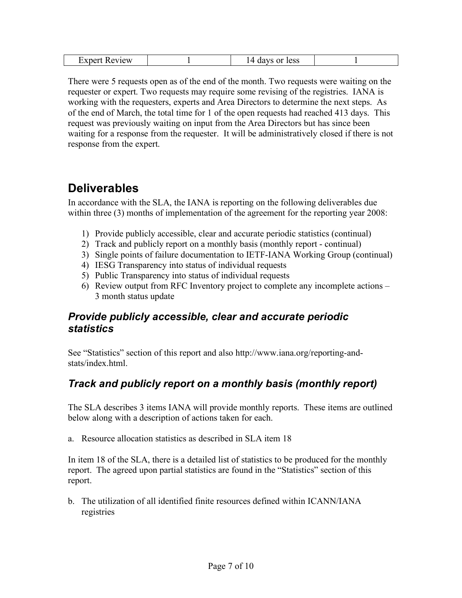| eview<br>. |  | 1000<br>. ההשי<br>$\sim$ |  |
|------------|--|--------------------------|--|
|------------|--|--------------------------|--|

There were 5 requests open as of the end of the month. Two requests were waiting on the requester or expert. Two requests may require some revising of the registries. IANA is working with the requesters, experts and Area Directors to determine the next steps. As of the end of March, the total time for 1 of the open requests had reached 413 days. This request was previously waiting on input from the Area Directors but has since been waiting for a response from the requester. It will be administratively closed if there is not response from the expert.

## **Deliverables**

In accordance with the SLA, the IANA is reporting on the following deliverables due within three (3) months of implementation of the agreement for the reporting year 2008:

- 1) Provide publicly accessible, clear and accurate periodic statistics (continual)
- 2) Track and publicly report on a monthly basis (monthly report continual)
- 3) Single points of failure documentation to IETF-IANA Working Group (continual)
- 4) IESG Transparency into status of individual requests
- 5) Public Transparency into status of individual requests
- 6) Review output from RFC Inventory project to complete any incomplete actions 3 month status update

## *Provide publicly accessible, clear and accurate periodic statistics*

See "Statistics" section of this report and also http://www.iana.org/reporting-andstats/index.html.

## *Track and publicly report on a monthly basis (monthly report)*

The SLA describes 3 items IANA will provide monthly reports. These items are outlined below along with a description of actions taken for each.

a. Resource allocation statistics as described in SLA item 18

In item 18 of the SLA, there is a detailed list of statistics to be produced for the monthly report. The agreed upon partial statistics are found in the "Statistics" section of this report.

b. The utilization of all identified finite resources defined within ICANN/IANA registries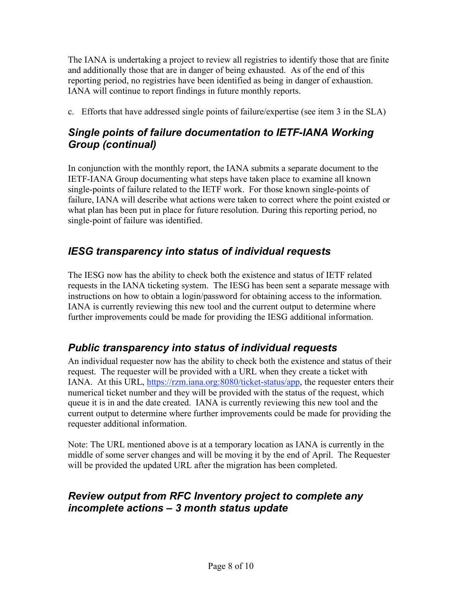The IANA is undertaking a project to review all registries to identify those that are finite and additionally those that are in danger of being exhausted. As of the end of this reporting period, no registries have been identified as being in danger of exhaustion. IANA will continue to report findings in future monthly reports.

c. Efforts that have addressed single points of failure/expertise (see item 3 in the SLA)

## *Single points of failure documentation to IETF-IANA Working Group (continual)*

In conjunction with the monthly report, the IANA submits a separate document to the IETF-IANA Group documenting what steps have taken place to examine all known single-points of failure related to the IETF work. For those known single-points of failure, IANA will describe what actions were taken to correct where the point existed or what plan has been put in place for future resolution. During this reporting period, no single-point of failure was identified.

## *IESG transparency into status of individual requests*

The IESG now has the ability to check both the existence and status of IETF related requests in the IANA ticketing system. The IESG has been sent a separate message with instructions on how to obtain a login/password for obtaining access to the information. IANA is currently reviewing this new tool and the current output to determine where further improvements could be made for providing the IESG additional information.

## *Public transparency into status of individual requests*

An individual requester now has the ability to check both the existence and status of their request. The requester will be provided with a URL when they create a ticket with IANA. At this URL, https://rzm.iana.org:8080/ticket-status/app, the requester enters their numerical ticket number and they will be provided with the status of the request, which queue it is in and the date created. IANA is currently reviewing this new tool and the current output to determine where further improvements could be made for providing the requester additional information.

Note: The URL mentioned above is at a temporary location as IANA is currently in the middle of some server changes and will be moving it by the end of April. The Requester will be provided the updated URL after the migration has been completed.

## *Review output from RFC Inventory project to complete any incomplete actions – 3 month status update*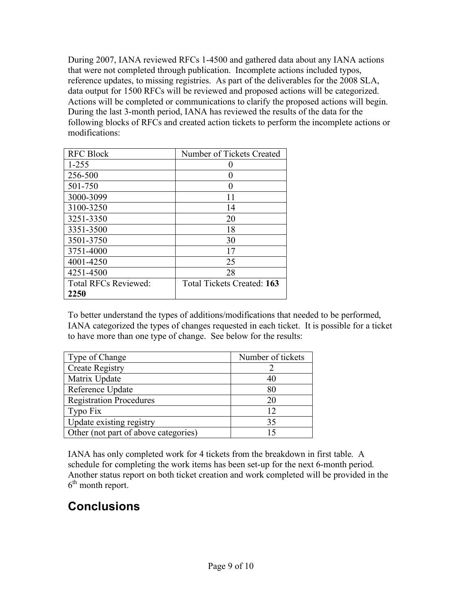During 2007, IANA reviewed RFCs 1-4500 and gathered data about any IANA actions that were not completed through publication. Incomplete actions included typos, reference updates, to missing registries. As part of the deliverables for the 2008 SLA, data output for 1500 RFCs will be reviewed and proposed actions will be categorized. Actions will be completed or communications to clarify the proposed actions will begin. During the last 3-month period, IANA has reviewed the results of the data for the following blocks of RFCs and created action tickets to perform the incomplete actions or modifications:

| <b>RFC Block</b>            | Number of Tickets Created  |
|-----------------------------|----------------------------|
| $1 - 255$                   |                            |
| 256-500                     |                            |
| 501-750                     | $\mathbf{\Omega}$          |
| 3000-3099                   | 11                         |
| 3100-3250                   | 14                         |
| 3251-3350                   | 20                         |
| 3351-3500                   | 18                         |
| 3501-3750                   | 30                         |
| 3751-4000                   | 17                         |
| 4001-4250                   | 25                         |
| 4251-4500                   | 28                         |
| <b>Total RFCs Reviewed:</b> | Total Tickets Created: 163 |
| 2250                        |                            |

To better understand the types of additions/modifications that needed to be performed, IANA categorized the types of changes requested in each ticket. It is possible for a ticket to have more than one type of change. See below for the results:

| Type of Change                       | Number of tickets |
|--------------------------------------|-------------------|
| <b>Create Registry</b>               |                   |
| Matrix Update                        | 40                |
| Reference Update                     | 80                |
| <b>Registration Procedures</b>       | 20                |
| Typo Fix                             | 12                |
| Update existing registry             | 35                |
| Other (not part of above categories) | 15                |

IANA has only completed work for 4 tickets from the breakdown in first table. A schedule for completing the work items has been set-up for the next 6-month period. Another status report on both ticket creation and work completed will be provided in the  $6<sup>th</sup>$  month report.

## **Conclusions**